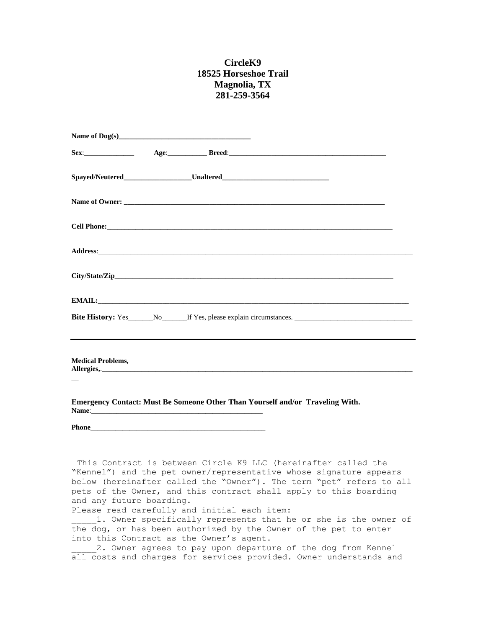## **CircleK9 18525 Horseshoe Trail Magnolia, TX 281-259-3564**

| <b>Medical Problems,</b>                                                                                                                                                                                                       |  |  |  |
|--------------------------------------------------------------------------------------------------------------------------------------------------------------------------------------------------------------------------------|--|--|--|
| Emergency Contact: Must Be Someone Other Than Yourself and/or Traveling With.                                                                                                                                                  |  |  |  |
| Phone Phone and the contract of the contract of the contract of the contract of the contract of the contract of the contract of the contract of the contract of the contract of the contract of the contract of the contract o |  |  |  |
|                                                                                                                                                                                                                                |  |  |  |

This Contract is between Circle K9 LLC (hereinafter called the "Kennel") and the pet owner/representative whose signature appears below (hereinafter called the "Owner"). The term "pet" refers to all pets of the Owner, and this contract shall apply to this boarding and any future boarding.

Please read carefully and initial each item:

1. Owner specifically represents that he or she is the owner of the dog, or has been authorized by the Owner of the pet to enter into this Contract as the Owner's agent.

2. Owner agrees to pay upon departure of the dog from Kennel all costs and charges for services provided. Owner understands and